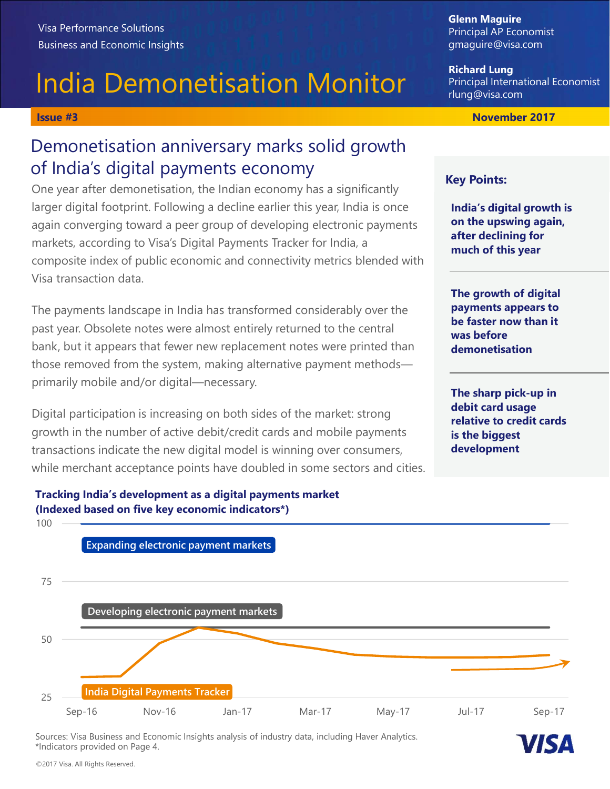# India Demonetisation Monitor

# Visa Performance Solutions<br>
Business and Economic Insights<br>
Business and Economic Insights<br> **India Demonetisation Monitor**<br> **India Demonetisation Acceleration Acceleration**<br> **India's digital payments economy**<br> **Examely Acc** Demonetisation anniversary marks solid growth of India's digital payments economy

One year after demonetisation, the Indian economy has a significantly **Key Points:** larger digital footprint. Following a decline earlier this year, India is once again converging toward a peer group of developing electronic payments markets, according to Visa's Digital Payments Tracker for India, a composite index of public economic and connectivity metrics blended with Visa transaction data.

The payments landscape in India has transformed considerably over the past year. Obsolete notes were almost entirely returned to the central bank, but it appears that fewer new replacement notes were printed than those removed from the system, making alternative payment methods primarily mobile and/or digital—necessary.

Digital participation is increasing on both sides of the market: strong growth in the number of active debit/credit cards and mobile payments transactions indicate the new digital model is winning over consumers, while merchant acceptance points have doubled in some sectors and cities.

## Richard Lung Principal International Economist rlung@visa.com

Glenn Maguire

Principal AP Economist gmaguire@visa.com

India's digital growth is on the upswing again, after declining for much of this year

The growth of digital payments appears to be faster now than it was before demonetisation

The sharp pick-up in debit card usage relative to credit cards is the biggest development



Sources: Visa Business and Economic Insights analysis of industry data, including Haver Analytics. \*Indicators provided on Page 4.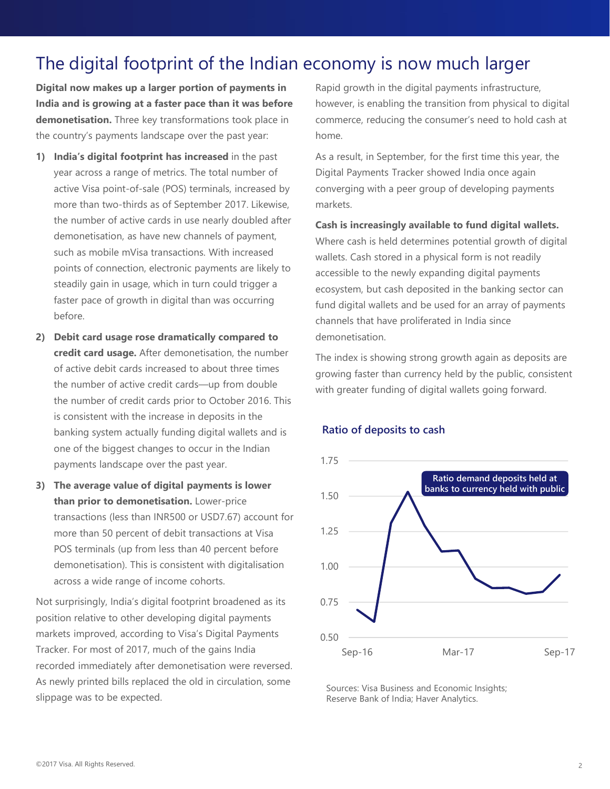# The digital footprint of the Indian economy is now much larger

Digital now makes up a larger portion of payments in India and is growing at a faster pace than it was before demonetisation. Three key transformations took place in the country's payments landscape over the past year:

- The digital footprint of the Indian economy<br>
Digital now makes up a larger portion of payments in<br>
India and is growing at a faster pace than it was before<br>
demonetisation. Three key transformations took place in<br>
the coun year across a range of metrics. The total number of active Visa point-of-sale (POS) terminals, increased by more than two-thirds as of September 2017. Likewise, the number of active cards in use nearly doubled after demonetisation, as have new channels of payment, such as mobile mVisa transactions. With increased points of connection, electronic payments are likely to steadily gain in usage, which in turn could trigger a faster pace of growth in digital than was occurring before. **Digital now makes up a larger portion of payments in**<br> **Digital growth in thus and is growing at a faster pace than it was before** however, is end<br> **demonetisation.** Three key transformations took place in commerce, red<br>
- credit card usage. After demonetisation, the number of active debit cards increased to about three times the number of active credit cards—up from double the number of credit cards prior to October 2016. This is consistent with the increase in deposits in the banking system actually funding digital wallets and is one of the biggest changes to occur in the Indian payments landscape over the past year. **Example 19**<br> **Example 10**<br>
Such as mobile mVisa transactions. With increased<br>
where cash is<br>
points of connection, electronic payments are likely to<br>
steedily gain in usage, which in turn could trigger a<br>
steer pace of gr
- than prior to demonetisation. Lower-price transactions (less than INR500 or USD7.67) account for more than 50 percent of debit transactions at Visa POS terminals (up from less than 40 percent before demonetisation). This is consistent with digitalisation across a wide range of income cohorts.

Not surprisingly, India's digital footprint broadened as its position relative to other developing digital payments markets improved, according to Visa's Digital Payments Tracker. For most of 2017, much of the gains India recorded immediately after demonetisation were reversed. As newly printed bills replaced the old in circulation, some slippage was to be expected.

Rapid growth in the digital payments infrastructure, however, is enabling the transition from physical to digital commerce, reducing the consumer's need to hold cash at home.

As a result, in September, for the first time this year, the Digital Payments Tracker showed India once again converging with a peer group of developing payments markets.

Cash is increasingly available to fund digital wallets. Where cash is held determines potential growth of digital wallets. Cash stored in a physical form is not readily accessible to the newly expanding digital payments ecosystem, but cash deposited in the banking sector can fund digital wallets and be used for an array of payments

channels that have proliferated in India since

The index is showing strong growth again as deposits are growing faster than currency held by the public, consistent with greater funding of digital wallets going forward.

### Ratio of deposits to cash

demonetisation.



Sources: Visa Business and Economic Insights; Reserve Bank of India; Haver Analytics.

### ©2017 Visa. All Rights Reserved.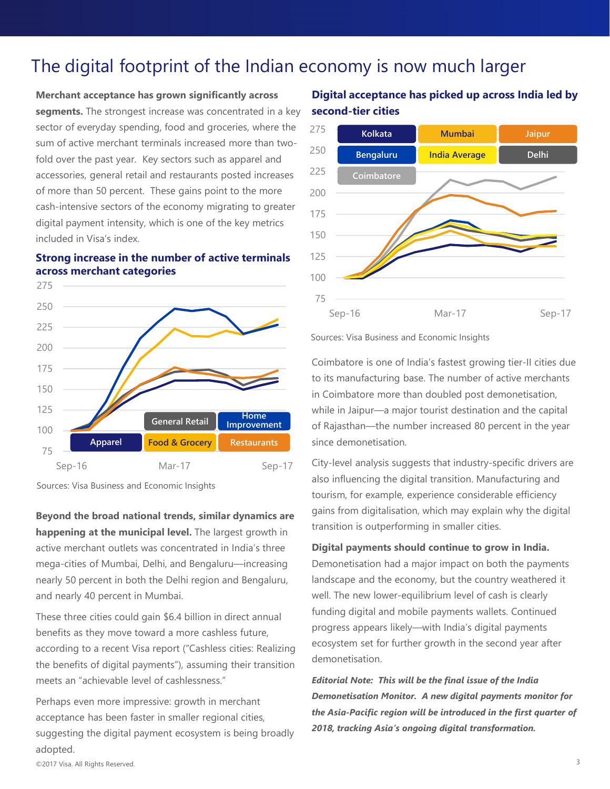# The digital footprint of the Indian economy is now much larger

Merchant acceptance has grown significantly across segments. The strongest increase was concentrated in a key sector of everyday spending, food and groceries, where the 275 sum of active merchant terminals increased more than twofold over the past year. Key sectors such as apparel and accessories, general retail and restaurants posted increases 225 of more than 50 percent. These gains point to the more cash-intensive sectors of the economy migrating to greater 175 digital payment intensity, which is one of the key metrics included in Visa's index.

## Strong increase in the number of active terminals 125 across merchant categories and the state of  $100$



Sources: Visa Business and Economic Insights

Beyond the broad national trends, similar dynamics are detailed the broad national trends, similar dynamics are transition is outperforming in smaller cities. happening at the municipal level. The largest growth in active merchant outlets was concentrated in India's three mega-cities of Mumbai, Delhi, and Bengaluru—increasing nearly 50 percent in both the Delhi region and Bengaluru, and nearly 40 percent in Mumbai.

These three cities could gain \$6.4 billion in direct annual benefits as they move toward a more cashless future,<br>ecosystem set for further growth in the second year after according to a recent Visa report ("Cashless cities: Realizing the benefits of digital payments"), assuming their transition meets an "achievable level of cashlessness."

acceptance has been faster in smaller regional cities, suggesting the digital payment ecosystem is being broadly adopted.

## Digital acceptance has picked up across India led by second-tier cities



Sources: Visa Business and Economic Insights

Coimbatore is one of India's fastest growing tier-II cities due to its manufacturing base. The number of active merchants in Coimbatore more than doubled post demonetisation, General Retail **Improvement** of Rajasthan—the number increased 80 percent in the year To<br>
Sep-16 Mar-17 Sources: Visa Business and Economic Insights<br>
Coimbatore is one of India's fastest growing tier-II cities due<br>
to its manufacturing base. The number of active merchants<br>
in Coimbatore more than doubled po Sep-16<br>
Sep-17<br>
Sources: Visa Business and Economic Insights<br>
Coimbatore is one of India's fastest growing tier-II cities due<br>
to its manufacturing base. The number of active merchants<br>
in Coimbatore more than doubled post While in Jaipur—a major tourist destination and the capital<br>Improvement of Raiasthan—the number increased 80 percent in the year

City-level analysis suggests that industry-specific drivers are also influencing the digital transition. Manufacturing and tourism, for example, experience considerable efficiency gains from digitalisation, which may explain why the digital

Digital payments should continue to grow in India. landscape and the economy, but the country weathered it well. The new lower-equilibrium level of cash is clearly funding digital and mobile payments wallets. Continued progress appears likely—with India's digital payments in Coimbatore more than doubled post demonetisation,<br>while in Jaipur—a major tourist destination and the capital<br>of Rajasthan—the number increased 80 percent in the year<br>since demonetisation.<br>City-level analysis suggests t demonetisation. since demonetisation.<br>City-level analysis suggests that industry-specific drivers are<br>also influencing the digital transition. Manufacturing and<br>tourism, for example, experience considerable efficiency<br>gains from digitalis

Perhaps even more impressive: growth in merchant **Demonetisation Monitor. A new digital payments monitor for** Editorial Note: This will be the final issue of the India the Asia-Pacific region will be introduced in the first quarter of 2018, tracking Asia's ongoing digital transformation.